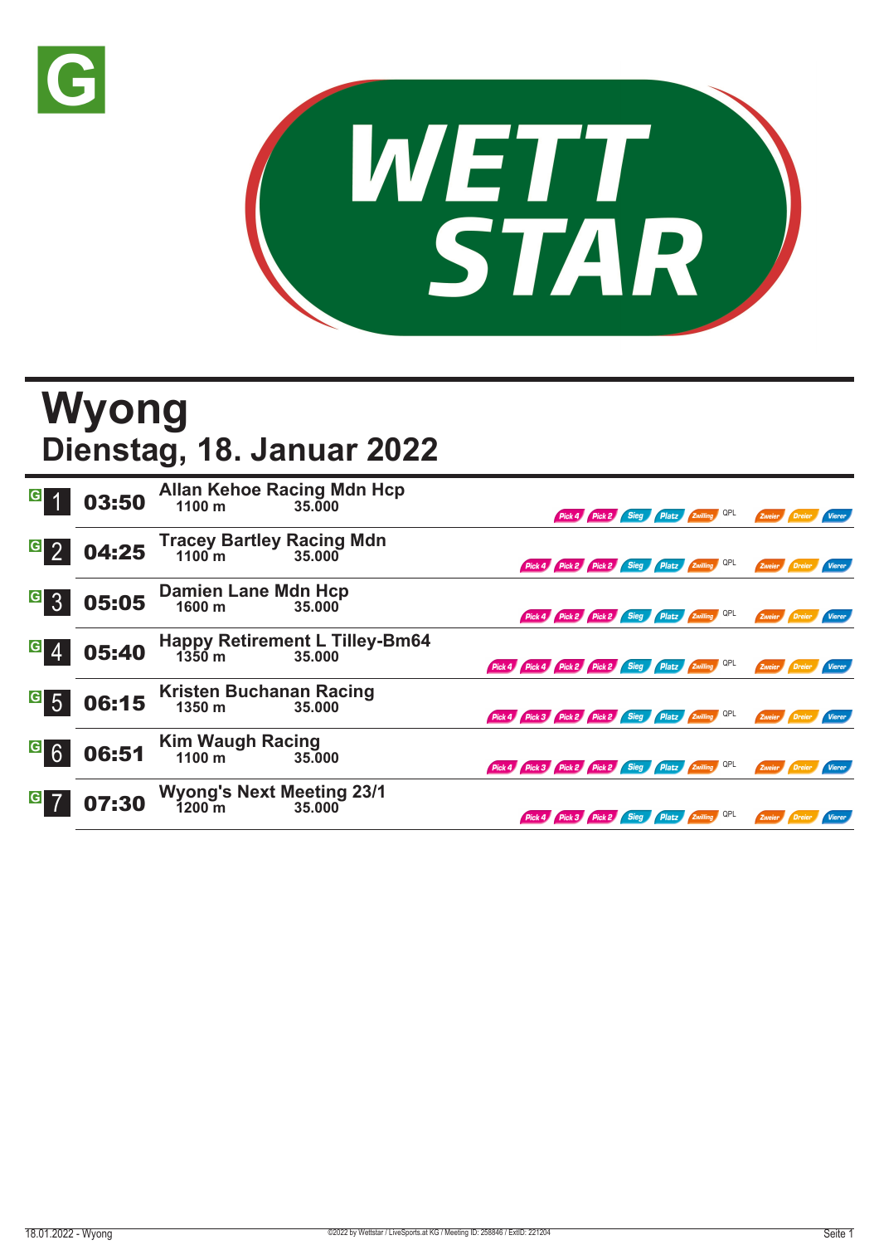



## **Wyong Dienstag, 18. Januar 2022**

| $\overline{G}$             | 03:50 | <b>Allan Kehoe Racing Mdn Hcp</b><br>1100 m          | 35,000                                          |                                                     | Pick 4 Pick 2 Sieg Platz Zwilling QPL        |  |  | Zweier               |        |               |
|----------------------------|-------|------------------------------------------------------|-------------------------------------------------|-----------------------------------------------------|----------------------------------------------|--|--|----------------------|--------|---------------|
| $G_{2}$                    | 04:25 | <b>Tracey Bartley Racing Mdn</b><br>$1100 \text{ m}$ | 35,000                                          |                                                     | Pick 4 Pick 2 Pick 2 Sieg Platz Zwilling QPL |  |  | Zweier               |        | <b>Vierer</b> |
| G 3                        | 05:05 | <b>Damien Lane Mdn Hcp</b><br>1600 m                 | 35.000                                          |                                                     | Pick 4 Pick 2 Pick 2 Sieg Platz Zwilling QPL |  |  | Zweier               |        | <b>Vierer</b> |
| G 4                        | 05:40 | $1350 \text{ m}$                                     | <b>Happy Retirement L Tilley-Bm64</b><br>35.000 | Pick 4 Pick 4 Pick 2 Pick 2 Sieg Platz Zwilling QPL |                                              |  |  | Zweier               |        | Vierer        |
| $\overline{\phantom{a}}$ 5 | 06:15 | Kristen Buchanan Racing<br>1350 m                    | 35.000                                          | Pick 4 Pick 3 Pick 2 Pick 2 Sieg Platz Zwilling QPL |                                              |  |  | Zweier Dreier Vierer |        |               |
| <sup>G</sup> 6             | 06:51 | Kim Waugh Racing<br>1100 m 35.00                     | 35,000                                          | Pick 4 Pick 3 Pick 2 Pick 2 Sieg Platz Zwilling QPL |                                              |  |  | Zweier <b>Dreier</b> |        | Vierer        |
| G                          | 07:30 | <b>Wyong's Next Meeting 23/1</b><br>1200 m 35.000    |                                                 |                                                     | Pick 4 Pick 3 Pick 2 Sieg Platz Zwilling QPL |  |  | Zweier               | Dreier | Vierer        |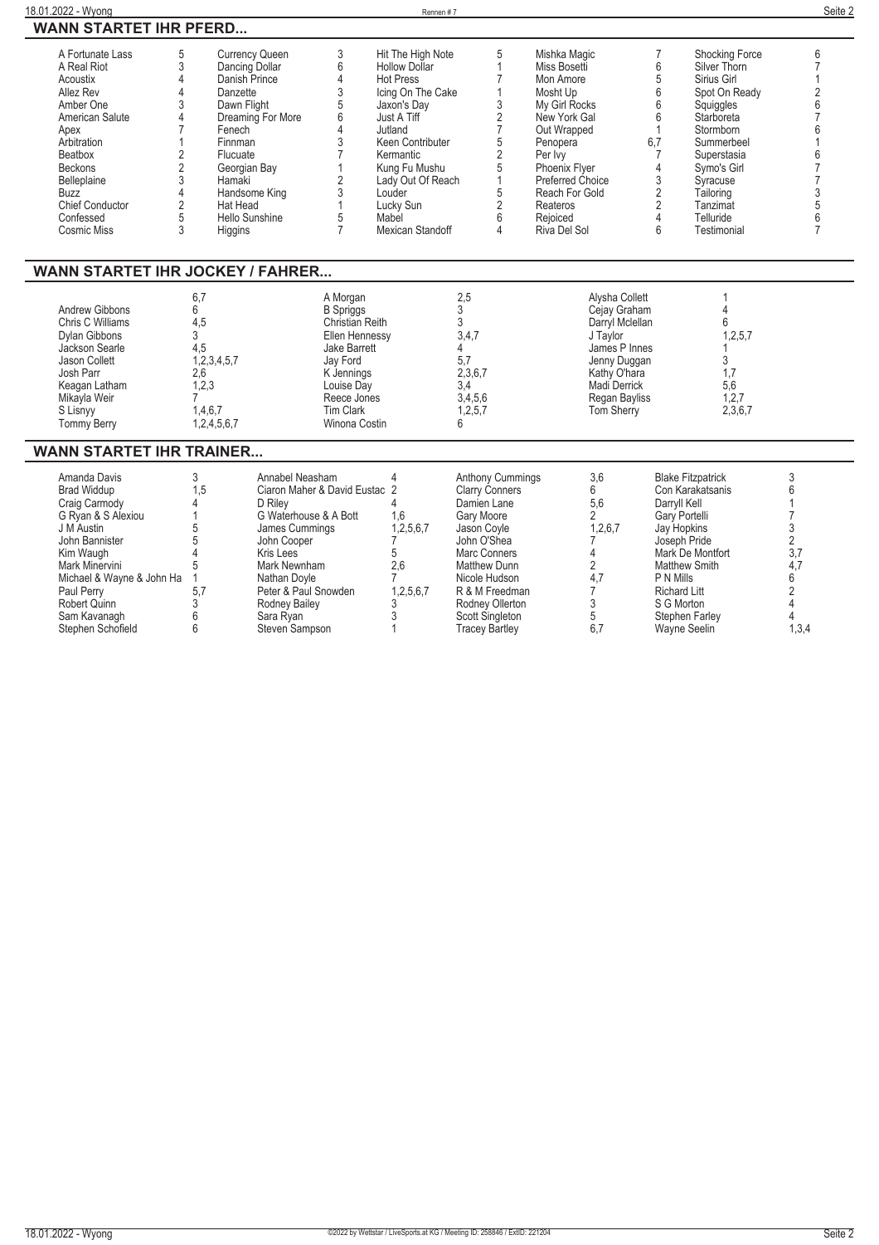$\overline{\phantom{0}}$ 

## **18.01.2022 - Wyong** Rennen # 7 **Seite 2 WANN STARTET IHR PFERD...**

| A Fortunate Lass       | <b>Currency Queen</b> | Hit The High Note    | Mishka Magic            |     | <b>Shocking Force</b> |  |
|------------------------|-----------------------|----------------------|-------------------------|-----|-----------------------|--|
| A Real Riot            | Dancing Dollar        | <b>Hollow Dollar</b> | Miss Bosetti            |     | Silver Thorn          |  |
| Acoustix               | Danish Prince         | <b>Hot Press</b>     | Mon Amore               |     | Sirius Girl           |  |
| Allez Rev              | Danzette              | Icing On The Cake    | Mosht Up                |     | Spot On Ready         |  |
| Amber One              | Dawn Flight           | Jaxon's Day          | My Girl Rocks           |     | Squiggles             |  |
| American Salute        | Dreaming For More     | Just A Tiff          | New York Gal            |     | Starboreta            |  |
| Apex                   | Fenech                | Jutland              | Out Wrapped             |     | Stormborn             |  |
| Arbitration            | Finnman               | Keen Contributer     | Penopera                | 6.7 | Summerbeel            |  |
| Beatbox                | Flucuate              | Kermantic            | Per Ivv                 |     | Superstasia           |  |
| <b>Beckons</b>         | Georgian Bay          | Kung Fu Mushu        | <b>Phoenix Flyer</b>    |     | Symo's Girl           |  |
| <b>Belleplaine</b>     | Hamaki                | Lady Out Of Reach    | <b>Preferred Choice</b> |     | Syracuse              |  |
| Buzz                   | Handsome King         | Louder               | Reach For Gold          |     | Tailoring             |  |
| <b>Chief Conductor</b> | Hat Head              | Lucky Sun            | Reateros                |     | Tanzimat              |  |
| Confessed              | Hello Sunshine        | Mabel                | Rejoiced                |     | Telluride             |  |
| Cosmic Miss            | Higgins               | Mexican Standoff     | Riva Del Sol            |     | Testimonial           |  |
|                        |                       |                      |                         |     |                       |  |

## **WANN STARTET IHR JOCKEY / FAHRER...**

| Andrew Gibbons<br>Chris C Williams<br>Dylan Gibbons<br>Jackson Searle<br>Jason Collett<br>Josh Parr<br>Keagan Latham<br>Mikayla Weir | $6^{\circ}$<br>4,5<br>4,5<br>,2,3,4,5,7<br>2,6<br>1,2,3 | A Morgan<br><b>B</b> Spriggs<br>Christian Reith<br>Ellen Hennessy<br><b>Jake Barrett</b><br>Jay Ford<br>K Jennings<br>Louise Day<br>Reece Jones | 2.5<br>3,4,7<br>2,3,6,7<br>3,4,5,6 | Alvsha Collett<br>Cejay Graham<br>Darryl Mclellan<br>J Taylor<br>James P Innes<br>Jenny Duggan<br>Kathy O'hara<br>Madi Derrick<br>Regan Bayliss | 1,2,5,7<br>5,6<br>1,2,7 |  |  |  |
|--------------------------------------------------------------------------------------------------------------------------------------|---------------------------------------------------------|-------------------------------------------------------------------------------------------------------------------------------------------------|------------------------------------|-------------------------------------------------------------------------------------------------------------------------------------------------|-------------------------|--|--|--|
| S Lisnyy<br>Tommy Berry                                                                                                              | 1,4,6,7<br>,2,4,5,6,7                                   | Tim Clark<br>Winona Costin                                                                                                                      | 1,2,5,7                            | <b>Tom Sherry</b>                                                                                                                               | 2,3,6,7                 |  |  |  |

## **WANN STARTET IHR TRAINER...**

| Amanda Davis              |   | Annabel Neasham               |           | <b>Anthony Cummings</b> | 3,6     | <b>Blake Fitzpatrick</b> |       |
|---------------------------|---|-------------------------------|-----------|-------------------------|---------|--------------------------|-------|
| <b>Brad Widdup</b>        | 5 | Ciaron Maher & David Eustac 2 |           | <b>Clarry Conners</b>   |         | Con Karakatsanis         |       |
| Craig Carmody             |   | D Rilev                       |           | Damien Lane             | 5,6     | Darryll Kell             |       |
| G Ryan & S Alexiou        |   | G Waterhouse & A Bott         | 1.6       | Gary Moore              |         | Gary Portelli            |       |
| J M Austin                |   | James Cummings                | 1,2,5,6,7 | Jason Covle             | 1,2,6,7 | Jay Hopkins              |       |
| John Bannister            |   | John Cooper                   |           | John O'Shea             |         | Joseph Pride             |       |
| Kim Waugh                 |   | Kris Lees                     |           | Marc Conners            |         | Mark De Montfort         |       |
| Mark Minervini            |   | Mark Newnham                  | 2.6       | Matthew Dunn            |         | Matthew Smith            |       |
| Michael & Wayne & John Ha |   | Nathan Dovle                  |           | Nicole Hudson           |         | P N Mills                |       |
| Paul Perry                |   | Peter & Paul Snowden          | 1,2,5,6,7 | R & M Freedman          |         | <b>Richard Litt</b>      |       |
| Robert Quinn              |   | Rodney Bailey                 |           | Rodney Ollerton         |         | S G Morton               |       |
| Sam Kavanagh              |   | Sara Rvan                     |           | Scott Singleton         |         | Stephen Farley           |       |
| Stephen Schofield         |   | Steven Sampson                |           | Tracey Bartley          |         | Wavne Seelin             | 1,3,4 |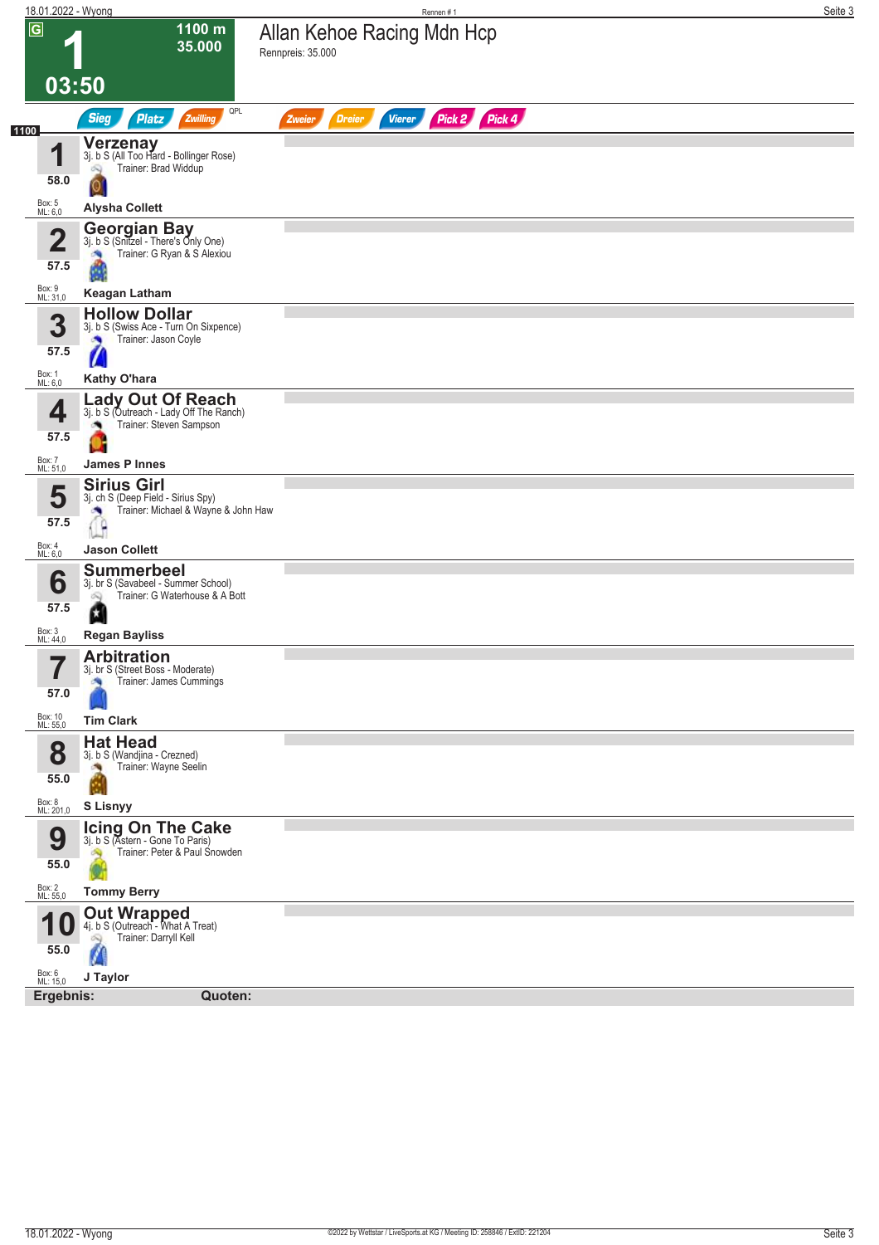| 18.01.2022 - Wyong      |                                                                                                             | Rennen#1                                                  | Seite 3 |
|-------------------------|-------------------------------------------------------------------------------------------------------------|-----------------------------------------------------------|---------|
| $\overline{\mathsf{G}}$ | 1100 m<br>35.000                                                                                            | Allan Kehoe Racing Mdn Hcp<br>Rennpreis: 35.000           |         |
|                         | 03:50                                                                                                       |                                                           |         |
| 1100                    | QPL<br><b>Sieg</b><br><b>Platz</b><br>Zwilling                                                              | Pick 2 Pick 4<br><b>Dreier</b><br><b>Vierer</b><br>Zweier |         |
| 4<br>58.0               | Verzenay<br>3j. b S (All Too Hard - Bollinger Rose)<br>Trainer: Brad Widdup<br>Q                            |                                                           |         |
| Box: 5<br>ML: 6,0       | <b>Alysha Collett</b>                                                                                       |                                                           |         |
| $\mathbf 2$<br>57.5     | <b>Georgian Bay</b><br>3j. b S (Snitzel - There's Only One)<br>Trainer: G Ryan & S Alexiou<br>×             |                                                           |         |
| Box: 9<br>ML: 31,0      | <b>Keagan Latham</b>                                                                                        |                                                           |         |
| 3<br>57.5               | <b>Hollow Dollar</b><br>3j. b S (Swiss Ace - Turn On Sixpence)<br>Trainer: Jason Coyle<br>×                 |                                                           |         |
| Box: 1<br>ML: 6,0       | Kathy O'hara                                                                                                |                                                           |         |
| 4<br>57.5               | <b>Lady Out Of Reach</b><br>3j. b S (Outreach - Lady Off The Ranch)<br>Trainer: Steven Sampson              |                                                           |         |
| Box: 7<br>ML: 51,0      | <b>James P Innes</b>                                                                                        |                                                           |         |
| 5<br>57.5               | <b>Sirius Girl</b><br>3j. ch S (Deep Field - Sirius Spy)<br>Trainer: Michael & Wayne & John Haw<br>$\theta$ |                                                           |         |
| Box: 4<br>ML: 6,0       | <b>Jason Collett</b>                                                                                        |                                                           |         |
| 6<br>57.5               | <b>Summerbeel</b><br>3j. br S (Savabeel - Summer School)<br>Trainer: G Waterhouse & A Bott<br>ôQ            |                                                           |         |
| Box: 3<br>ML: 44,0      | ۵<br><b>Regan Bayliss</b>                                                                                   |                                                           |         |
| 57                      | <b>Arbitration</b>                                                                                          |                                                           |         |
| H<br>57.0               | 3j. br S (Street Boss - Moderate)<br>Trainer: James Cummings                                                |                                                           |         |
| Box: 10<br>ML: 55,0     | <b>Tim Clark</b>                                                                                            |                                                           |         |
| 8<br>55.0               | <b>Hat Head</b><br>3j. b S (Wandjina - Crezned)<br>Trainer: Wayne Seelin                                    |                                                           |         |
|                         |                                                                                                             |                                                           |         |
| Box: 8<br>ML: 201,0     | <b>S Lisnyy</b>                                                                                             |                                                           |         |
| 9<br>55.0               | <b>Icing On The Cake</b><br>3j. b S (Astern - Gone To Paris)<br>Trainer: Peter & Paul Snowden<br>A          |                                                           |         |
| Box: 2<br>ML: 55,0      | <b>Tommy Berry</b>                                                                                          |                                                           |         |
|                         | <b>Out Wrapped</b><br>4j. b S (Outreach - What A Treat)                                                     |                                                           |         |
| 4<br>U<br>55.0          | Trainer: Darryll Kell<br>Q                                                                                  |                                                           |         |
| Box: 6<br>ML: 15,0      | J Taylor                                                                                                    |                                                           |         |
| Ergebnis:               | Quoten:                                                                                                     |                                                           |         |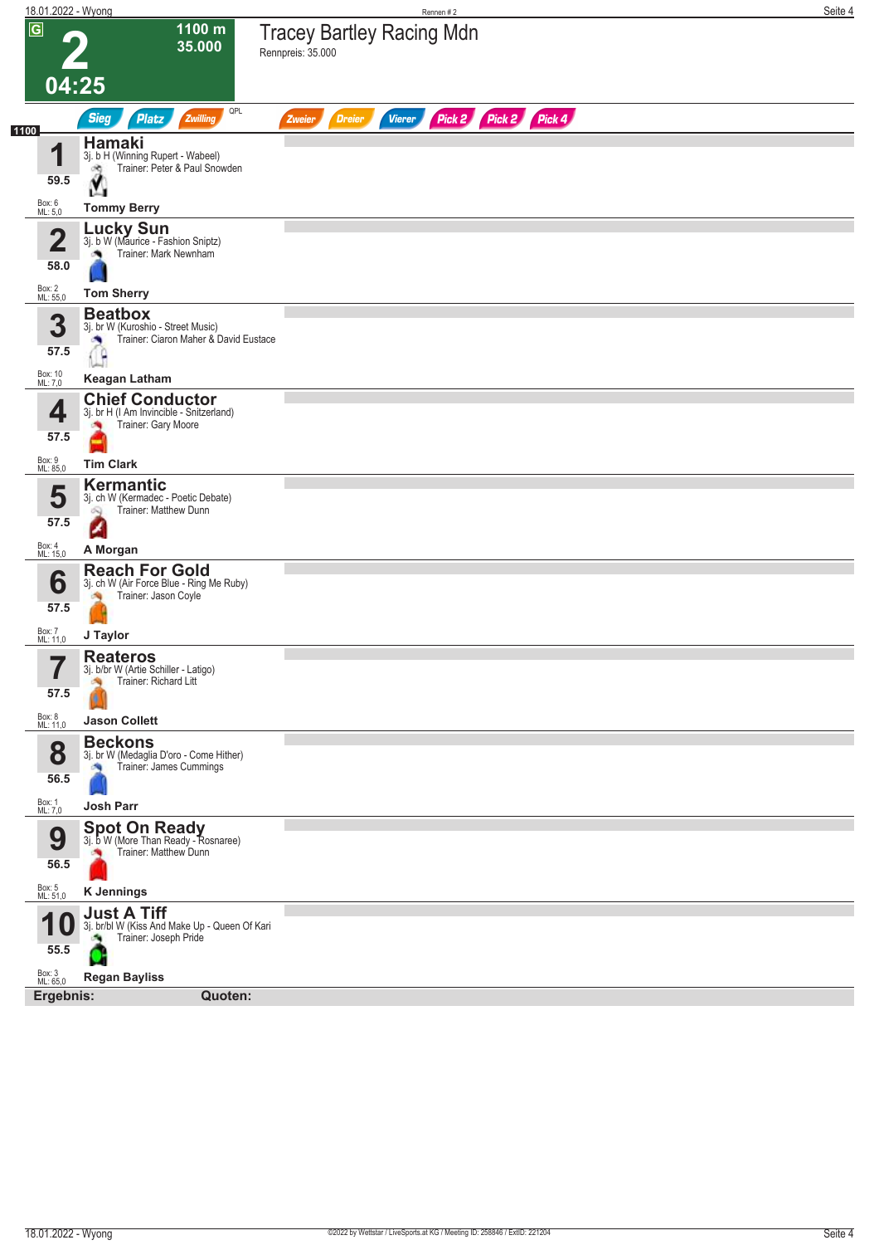| 18.01.2022 - Wyong |                                                                                              | Rennen #2                                                 | Seite 4 |
|--------------------|----------------------------------------------------------------------------------------------|-----------------------------------------------------------|---------|
| $\overline{G}$     | 1100 m<br>35.000                                                                             | <b>Tracey Bartley Racing Mdn</b><br>Rennpreis: 35.000     |         |
|                    | 04:25                                                                                        |                                                           |         |
| 1100               | QPL<br><b>Sieg</b><br><b>Platz</b><br>Zwilling                                               | Pick 2 Pick 2 Pick 4<br><b>Dreier</b><br>Vierer<br>Zweier |         |
| 4                  | Hamaki<br>3j. b H (Winning Rupert - Wabeel)                                                  |                                                           |         |
| 59.5               | Trainer: Peter & Paul Snowden<br>đ.                                                          |                                                           |         |
| Box: 6<br>ML: 5,0  | M.<br><b>Tommy Berry</b>                                                                     |                                                           |         |
| 4                  | Lucky Sun<br>3j. b W (Maurice - Fashion Sniptz)                                              |                                                           |         |
| ∠<br>58.0          | Trainer: Mark Newnham                                                                        |                                                           |         |
| Box: 2<br>ML: 55,0 | <b>Tom Sherry</b>                                                                            |                                                           |         |
| 3                  | <b>Beatbox</b><br>3j. br W (Kuroshio - Street Music)                                         |                                                           |         |
| 57.5               | Trainer: Ciaron Maher & David Eustace<br>×<br>G                                              |                                                           |         |
| Box: 10<br>ML: 7,0 | <b>Keagan Latham</b>                                                                         |                                                           |         |
| 4                  | <b>Chief Conductor</b><br>3j. br H (I Am Invincible - Snitzerland)                           |                                                           |         |
| 57.5               | Trainer: Gary Moore                                                                          |                                                           |         |
| Box: 9<br>ML: 85,0 | <b>Tim Clark</b>                                                                             |                                                           |         |
| 5                  | Kermantic<br>3j. ch W (Kermadec - Poetic Debate)                                             |                                                           |         |
| 57.5               | Trainer: Matthew Dunn<br>Q                                                                   |                                                           |         |
| Box: 4<br>ML: 15,0 | A Morgan                                                                                     |                                                           |         |
| 6                  | <b>Reach For Gold</b><br>3j. ch W (Air Force Blue - Ring Me Ruby)                            |                                                           |         |
| 57.5               | Trainer: Jason Coyle                                                                         |                                                           |         |
| Box: 7<br>ML: 11,0 | J Taylor                                                                                     |                                                           |         |
| 7                  | <b>Reateros</b><br>3j. b/br W (Artie Schiller - Latigo)                                      |                                                           |         |
| 57.5               | Trainer: Richard Litt                                                                        |                                                           |         |
| Box: 8<br>ML: 11,0 | <b>Jason Collett</b>                                                                         |                                                           |         |
| 8                  | <b>Beckons</b><br>3j. br W (Medaglia D'oro - Come Hither)<br>Trainer: James Cummings         |                                                           |         |
| 56.5               |                                                                                              |                                                           |         |
| Box: 1<br>ML: 7,0  | Josh Parr                                                                                    |                                                           |         |
| 9                  | Spot On Ready<br>3j. b W (More Than Ready - Rosnaree)<br>Trainer: Matthew Dunn               |                                                           |         |
| 56.5               |                                                                                              |                                                           |         |
| Box: 5<br>ML: 51,0 | <b>K</b> Jennings                                                                            |                                                           |         |
|                    | <b>Just A Tiff</b><br>3j. br/bl W (Kiss And Make Up - Queen Of Kari<br>Trainer: Joseph Pride |                                                           |         |
| 55.5               |                                                                                              |                                                           |         |
| Box: 3<br>ML: 65,0 | <b>Regan Bayliss</b>                                                                         |                                                           |         |
| Ergebnis:          | Quoten:                                                                                      |                                                           |         |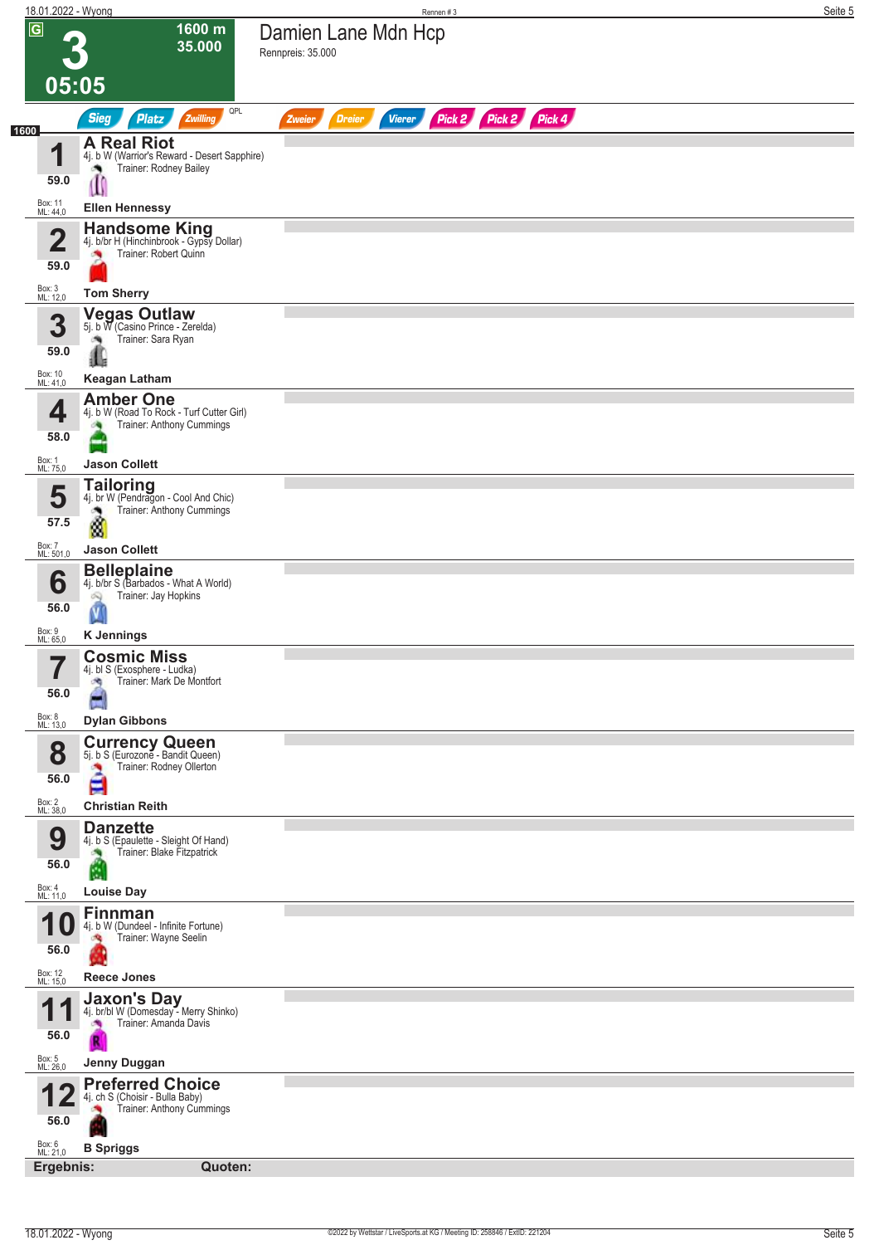| 18.01.2022 - Wyong         |                                                                                             | Rennen#3                                                         | Seite 5 |
|----------------------------|---------------------------------------------------------------------------------------------|------------------------------------------------------------------|---------|
| $\sqrt{G}$                 | 1600 m<br>35.000                                                                            | Damien Lane Mdn Hcp<br>Rennpreis: 35.000                         |         |
| 05:05                      |                                                                                             |                                                                  |         |
|                            | QPL<br><b>Sieg</b><br><b>Platz</b><br>Zwilling                                              | Pick 2 Pick 2 Pick 4<br><b>Vierer</b><br><b>Dreier</b><br>Zweier |         |
| 1600<br>И                  | <b>A Real Riot</b><br>4j. b W (Warrior's Reward - Desert Sapphire)                          |                                                                  |         |
| 59.0                       | Trainer: Rodney Bailey<br>U                                                                 |                                                                  |         |
| Box: 11<br>ML: 44,0        | <b>Ellen Hennessy</b>                                                                       |                                                                  |         |
| $\mathbf 2$                | Handsome King<br>4j. b/br H (Hinchinbrook - Gypsy Dollar)                                   |                                                                  |         |
| 59.0                       | Trainer: Robert Quinn<br>×                                                                  |                                                                  |         |
| Box: 3<br>ML: 12,0         | <b>Tom Sherry</b>                                                                           |                                                                  |         |
| 3                          | Vegas Outlaw<br>5j. b W (Casino Prince - Zerelda)<br>Trainer: Sara Ryan                     |                                                                  |         |
| 59.0                       |                                                                                             |                                                                  |         |
| Box: 10<br>ML: 41,0        | <b>Keagan Latham</b><br><b>Amber One</b>                                                    |                                                                  |         |
| 4                          | 4j. b W (Road To Rock - Turf Cutter Girl)<br>Trainer: Anthony Cummings                      |                                                                  |         |
| 58.0<br>Box: 1             |                                                                                             |                                                                  |         |
| ML: 75,0                   | <b>Jason Collett</b><br><b>Tailoring</b>                                                    |                                                                  |         |
| 5<br>57.5                  | 4j. br W (Pendragon - Cool And Chic)<br>Trainer: Anthony Cummings                           |                                                                  |         |
| Box: 7<br>ML: 501,0        | đ<br><b>Jason Collett</b>                                                                   |                                                                  |         |
| 6                          | <b>Belleplaine</b><br>4j. b/br S (Barbados - What A World)                                  |                                                                  |         |
| 56.0                       | Trainer: Jay Hopkins<br>Q                                                                   |                                                                  |         |
| Box: 9<br>ML: 65,0         | <b>K</b> Jennings                                                                           |                                                                  |         |
| 7<br>$\blacksquare$        | <b>Cosmic Miss</b><br>4j. bl S (Exosphere - Ludka)                                          |                                                                  |         |
| 56.0                       | Trainer: Mark De Montfort<br>A                                                              |                                                                  |         |
| Box: 8<br>ML: 13,0         | <b>Dylan Gibbons</b>                                                                        |                                                                  |         |
| 8                          | <b>Currency Queen</b><br>5j. b S (Eurozone - Bandit Queen)<br>Trainer: Rodney Ollerton<br>a |                                                                  |         |
| 56.0                       | E                                                                                           |                                                                  |         |
| Box: 2<br>ML: 38,0         | <b>Christian Reith</b><br><b>Danzette</b>                                                   |                                                                  |         |
| 9                          | 4j. b S (Epaulette - Sleight Of Hand)<br>Trainer: Blake Fitzpatrick                         |                                                                  |         |
| 56.0<br>Box: 4<br>ML: 11,0 | M.                                                                                          |                                                                  |         |
|                            | <b>Louise Day</b><br><b>Finnman</b>                                                         |                                                                  |         |
| 56.0                       | 4j. b W (Dundeel - Infinite Fortune)<br>Trainer: Wayne Seelin<br>J.                         |                                                                  |         |
| Box: 12<br>ML: 15,0        | Reece Jones                                                                                 |                                                                  |         |
| И                          | Jaxon's Day<br>4j. br/bl W (Domesday - Merry Shinko)                                        |                                                                  |         |
| 56.0                       | Trainer: Amanda Davis                                                                       |                                                                  |         |
| Box: 5<br>ML: 26,0         | Jenny Duggan                                                                                |                                                                  |         |
|                            | <b>Preferred Choice</b><br>4j. ch S (Choisir - Bulla Baby)                                  |                                                                  |         |
| 56.0                       | Trainer: Anthony Cummings                                                                   |                                                                  |         |
| Box: 6<br>ML: 21,0         | <b>B</b> Spriggs                                                                            |                                                                  |         |
| Ergebnis:                  | Quoten:                                                                                     |                                                                  |         |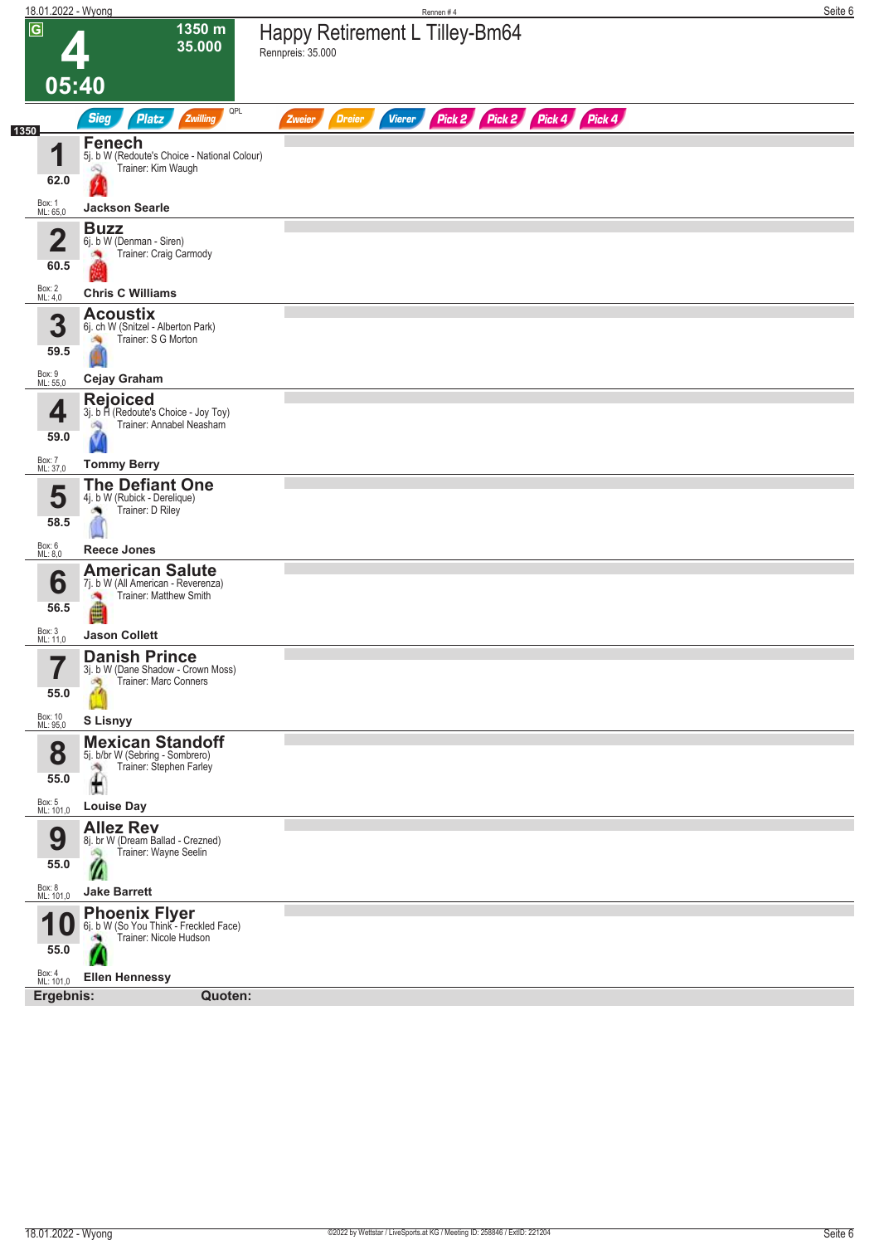| 18.01.2022 - Wyong                               |                                                                                                           | Rennen#4                                                                | Seite 6 |
|--------------------------------------------------|-----------------------------------------------------------------------------------------------------------|-------------------------------------------------------------------------|---------|
| $\overline{G}$<br>05:40                          | 1350 m<br>35.000                                                                                          | Happy Retirement L Tilley-Bm64<br>Rennpreis: 35.000                     |         |
|                                                  | QPL<br><b>Sieg</b><br>Platz<br>Zwilling                                                                   | Pick 2 Pick 2 Pick 4 Pick 4<br><b>Vierer</b><br><b>Dreier</b><br>Zweier |         |
| 1350<br>И<br>62.0                                | <b>Fenech</b><br>5j. b W (Redoute's Choice - National Colour)<br>Trainer: Kim Waugh<br>Q                  |                                                                         |         |
| Box: 1<br>ML: 65,0                               | <b>Jackson Searle</b>                                                                                     |                                                                         |         |
| 2<br>Z<br>60.5                                   | <b>Buzz</b><br>6j. b W (Denman - Siren)<br>Trainer: Craig Carmody                                         |                                                                         |         |
| Box: 2<br>ML: 4,0                                | <b>Chris C Williams</b>                                                                                   |                                                                         |         |
| 3<br>59.5                                        | <b>Acoustix</b><br>6j. ch W (Snitzel - Alberton Park)<br>Trainer: S G Morton                              |                                                                         |         |
| Box: 9<br>ML: 55,0                               | <b>Cejay Graham</b>                                                                                       |                                                                         |         |
| 4<br>59.0                                        | <b>Rejoiced</b><br>3j. b H (Redoute's Choice - Joy Toy)<br>Trainer: Annabel Neasham<br>ंच                 |                                                                         |         |
| Box: 7<br>ML: 37,0                               | <b>Tommy Berry</b>                                                                                        |                                                                         |         |
| 5<br>58.5                                        | <b>The Defiant One</b><br>4j. b W (Rubick - Derelique)<br>Trainer: D Riley                                |                                                                         |         |
| Box: 6<br>ML: 8,0                                | <b>Reece Jones</b>                                                                                        |                                                                         |         |
| 6<br>56.5                                        | <b>American Salute</b><br>7j. b W (All American - Reverenza)<br>Trainer: Matthew Smith                    |                                                                         |         |
| Box: 3<br>ML: 11,0                               | <b>Jason Collett</b>                                                                                      |                                                                         |         |
| 7<br>$\mathbf{r}$<br>55.0<br>Box: 10<br>ML: 95,0 | <b>Danish Prince</b><br>3j. b W (Dane Shadow - Crown Moss)<br>Trainer: Marc Conners<br>đ.<br>S Lisnyy     |                                                                         |         |
| 8                                                | <b>Mexican Standoff</b><br>5j. b/br W (Sebring - Sombrero)<br>Trainer: Stephen Farley                     |                                                                         |         |
| 55.0                                             | 內<br>£                                                                                                    |                                                                         |         |
| Box: 5<br>ML: 101,0<br>9                         | <b>Louise Day</b><br><b>Allez Rev</b><br>8j. br W (Dream Ballad - Crezned)<br>Trainer: Wayne Seelin<br>d. |                                                                         |         |
| 55.0<br>Box: 8<br>ML: 101,0                      | <b>Jake Barrett</b>                                                                                       |                                                                         |         |
| 55.0                                             | <b>Phoenix Flyer</b><br>6j. b W (So You Think - Freckled Face)<br>Trainer: Nicole Hudson<br>o.            |                                                                         |         |
| Box: 4<br>ML: 101,0                              | <b>Ellen Hennessy</b>                                                                                     |                                                                         |         |
| Ergebnis:                                        | Quoten:                                                                                                   |                                                                         |         |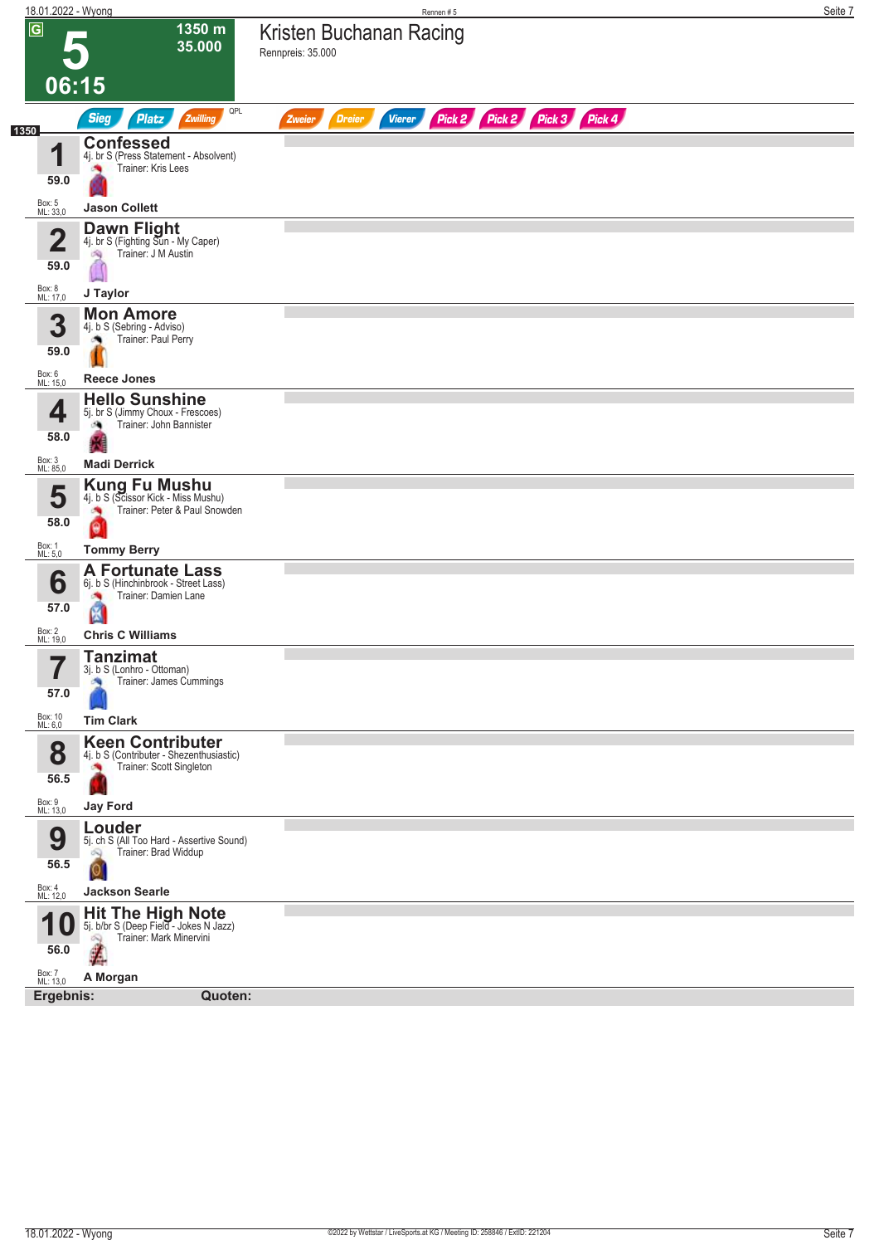| 18.01.2022 - Wyong                                          |                                                                                                           | Rennen #5                                                        | Seite 7 |
|-------------------------------------------------------------|-----------------------------------------------------------------------------------------------------------|------------------------------------------------------------------|---------|
| $\overline{\mathsf{G}}$                                     | $1350 \text{ m}$<br>35.000                                                                                | Kristen Buchanan Racing<br>Rennpreis: 35.000                     |         |
| 06:15                                                       |                                                                                                           |                                                                  |         |
| 1350                                                        | QPL<br><b>Sieg</b><br><b>Platz</b><br>Zwilling                                                            | Pick 2 Pick 2 Pick 3 Pick 4<br><b>Dreier</b><br>Vierer<br>Zweier |         |
| 1<br>59.0                                                   | <b>Confessed</b><br>4j. br S (Press Statement - Absolvent)<br>Trainer: Kris Lees                          |                                                                  |         |
| Box: 5<br>ML: 33,0                                          | <b>Jason Collett</b>                                                                                      |                                                                  |         |
| $\mathbf{2}$<br>59.0                                        | Dawn Flight<br>4j. br S (Fighting Sun - My Caper)<br>Trainer: J M Austin<br>沟                             |                                                                  |         |
| Box: 8<br>ML: 17,0                                          | J Taylor                                                                                                  |                                                                  |         |
| 3<br>59.0                                                   | <b>Mon Amore</b><br>4j. b S (Sebring - Adviso)<br>Trainer: Paul Perry<br>俩                                |                                                                  |         |
| Box: 6<br>ML: 15,0                                          | <b>Reece Jones</b>                                                                                        |                                                                  |         |
| 4<br>58.0                                                   | <b>Hello Sunshine</b><br>5j. br S (Jimmy Choux - Frescoes)<br>Trainer: John Bannister<br>鸿                |                                                                  |         |
| Box: 3<br>ML: 85,0                                          | <b>Madi Derrick</b>                                                                                       |                                                                  |         |
| 5<br>58.0                                                   | <b>Kung Fu Mushu</b><br>4j. b S (Scissor Kick - Miss Mushu)<br>Trainer: Peter & Paul Snowden<br>Θ         |                                                                  |         |
| Box: 1<br>ML: 5,0                                           | <b>Tommy Berry</b>                                                                                        |                                                                  |         |
| 6<br>57.0                                                   | <b>A Fortunate Lass</b><br>6j. b S (Hinchinbrook - Street Lass)<br>Trainer: Damien Lane<br>Ø              |                                                                  |         |
| Box: 2<br>ML: 19,0                                          | <b>Chris C Williams</b>                                                                                   |                                                                  |         |
| $\overline{\phantom{a}}$<br>I<br>57.0<br>Box: 10<br>ML: 6,0 | <b>Tanzimat</b><br>3j. b S (Lonhro - Ottoman)<br>Trainer: James Cummings<br><b>SQ</b><br><b>Tim Clark</b> |                                                                  |         |
|                                                             | <b>Keen Contributer</b>                                                                                   |                                                                  |         |
| 8<br>56.5                                                   | 4j. b S (Contributer - Shezenthusiastic)<br>Trainer: Scott Singleton                                      |                                                                  |         |
| Box: 9<br>ML: 13,0                                          | <b>Jay Ford</b>                                                                                           |                                                                  |         |
| 9<br>56.5                                                   | Louder<br>5j. ch S (All Too Hard - Assertive Sound)<br>Trainer: Brad Widdup<br>Q                          |                                                                  |         |
|                                                             | $\overline{\mathsf{o}}$                                                                                   |                                                                  |         |
| Box: 4<br>ML: 12,0                                          | <b>Jackson Searle</b>                                                                                     |                                                                  |         |
| <b>10</b><br>56.0                                           | <b>Hit The High Note</b><br>5j. b/br S (Deep Field - Jokes N Jazz)<br>Trainer: Mark Minervini<br>Q        |                                                                  |         |
| Box: 7<br>ML: 13,0                                          | A Morgan                                                                                                  |                                                                  |         |
| Ergebnis:                                                   | Quoten:                                                                                                   |                                                                  |         |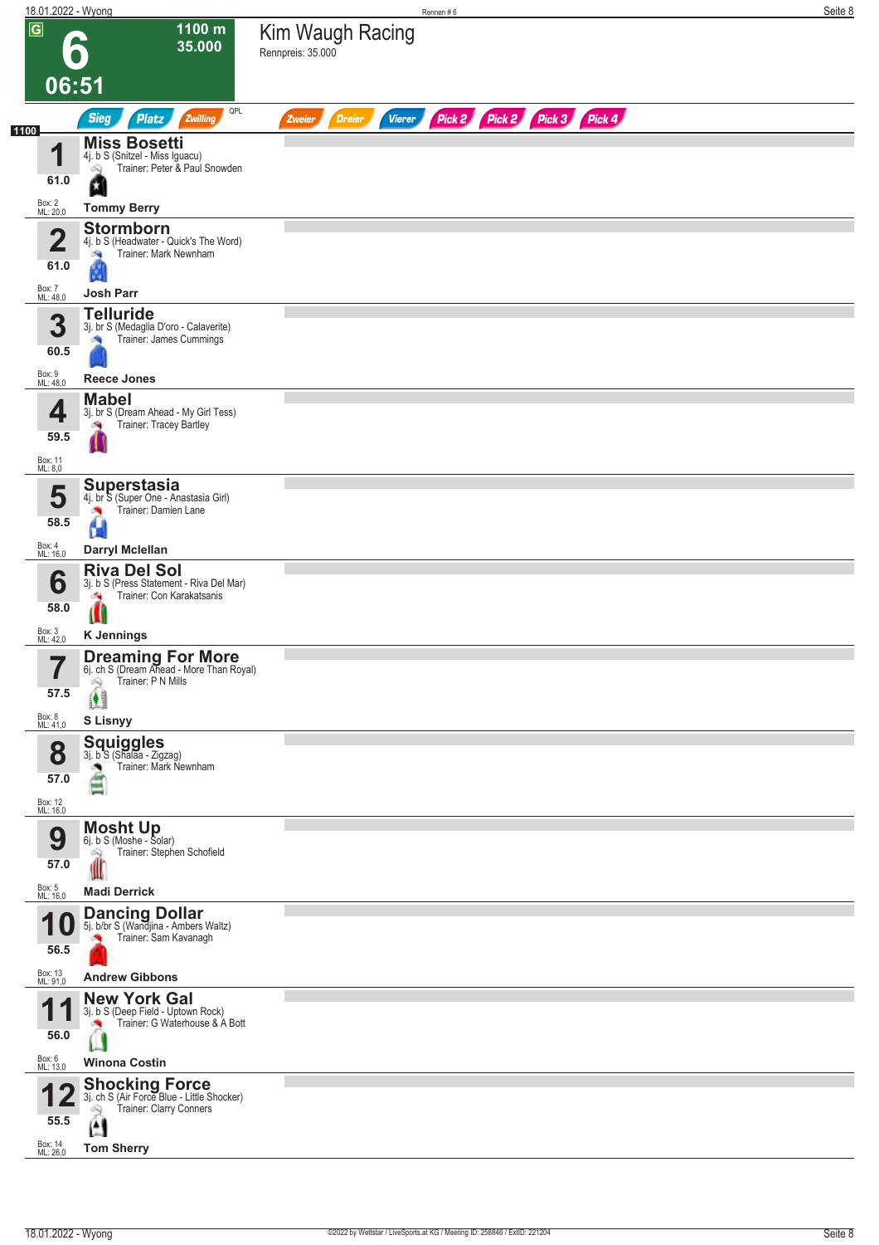|                | 18.01.2022 - Wyong      |                                                                                                                | Rennen#6                                                                | Seite 8 |
|----------------|-------------------------|----------------------------------------------------------------------------------------------------------------|-------------------------------------------------------------------------|---------|
| $\overline{G}$ |                         | 1100 m<br>35.000                                                                                               | Kim Waugh Racing<br>Rennpreis: 35.000                                   |         |
|                | 06:51                   |                                                                                                                |                                                                         |         |
|                |                         | QPL<br><b>Sieg</b><br>Platz<br>Zwilling                                                                        | Pick 2 Pick 2 Pick 3 Pick 4<br><b>Vierer</b><br><b>Dreier</b><br>Zweier |         |
| 1100           | И<br>61.0               | <b>Miss Bosetti</b><br>4j. b S (Snitzel - Miss Iguacu)<br>Trainer: Peter & Paul Snowden<br>Q                   |                                                                         |         |
|                | Box: 2<br>ML: 20,0      | ٥<br><b>Tommy Berry</b>                                                                                        |                                                                         |         |
|                | $\overline{\mathbf{2}}$ | <b>Stormborn</b><br>4j. b S (Headwater - Quick's The Word)                                                     |                                                                         |         |
|                | 61.0                    | Trainer: Mark Newnham<br>淘                                                                                     |                                                                         |         |
|                | Box: 7<br>ML: 48,0      | <b>Josh Parr</b>                                                                                               |                                                                         |         |
|                | 3<br>60.5               | <b>Telluride</b><br>3j. br S (Medaglia D'oro - Calaverite)<br>Trainer: James Cummings                          |                                                                         |         |
|                | Box: 9<br>ML: 48,0      | <b>Reece Jones</b>                                                                                             |                                                                         |         |
|                | 4<br>59.5               | <b>Mabel</b><br>3j. br S (Dream Ahead - My Girl Tess)<br>Trainer: Tracey Bartley                               |                                                                         |         |
|                | Box: 11                 |                                                                                                                |                                                                         |         |
|                | ML: 8,0<br>5            | <b>Superstasia</b><br>4j. br S (Super One - Anastasia Girl)                                                    |                                                                         |         |
|                | 58.5                    | Trainer: Damien Lane<br>Ы                                                                                      |                                                                         |         |
|                | Box: 4<br>ML: 16,0      | Darryl Mclellan                                                                                                |                                                                         |         |
|                | 6<br>58.0               | <b>Riva Del Sol</b><br>3j. b S (Press Statement - Riva Del Mar)<br>Trainer: Con Karakatsanis<br>÷.             |                                                                         |         |
|                |                         | Ш<br><b>K</b> Jennings                                                                                         |                                                                         |         |
|                | Box: 3<br>ML: 42,0<br>7 | <b>Dreaming For More</b><br>6j. ch S (Dream Ahead - More Than Royal)                                           |                                                                         |         |
|                | $\blacksquare$<br>57.5  | Trainer: P N Mills<br>2                                                                                        |                                                                         |         |
|                | Box: 8<br>ML: 41,0      | <b>S Lisnyy</b>                                                                                                |                                                                         |         |
|                | 8                       | <b>Squiggles</b><br>3j. b S (Shalaa - Zigzag)<br>Trainer: Mark Newnham                                         |                                                                         |         |
|                | 57.0                    | ma                                                                                                             |                                                                         |         |
|                | Box: 12<br>ML: 16,0     | <b>Mosht Up</b>                                                                                                |                                                                         |         |
|                | 9<br>57.0               | 6j. b S (Moshe - Solar)<br>Trainer: Stephen Schofield<br>Ñ                                                     |                                                                         |         |
|                | Box: 5<br>ML: 16,0      | <b>Madi Derrick</b>                                                                                            |                                                                         |         |
|                | 1 U<br>56.5             | <b>Dancing Dollar</b><br>5j. b/br S (Wandjina - Ambers Waltz)<br>Trainer: Sam Kavanagh                         |                                                                         |         |
|                | Box: 13<br>ML: 91,0     | <b>Andrew Gibbons</b>                                                                                          |                                                                         |         |
|                | И                       | <b>New York Gal</b>                                                                                            |                                                                         |         |
|                | 56.0                    | 3j. b S (Deep Field - Uptown Rock)<br>Trainer: G Waterhouse & A Bott                                           |                                                                         |         |
|                | Box: 6<br>ML: 13,0      | <b>Winona Costin</b>                                                                                           |                                                                         |         |
|                | 55.5                    | <b>Shocking Force</b><br>3j. ch S (Air Force Blue - Little Shocker)<br>Trainer: Clarry Conners<br>$\mathbf{A}$ |                                                                         |         |
|                | Box: 14<br>ML: 26,0     | <b>Tom Sherry</b>                                                                                              |                                                                         |         |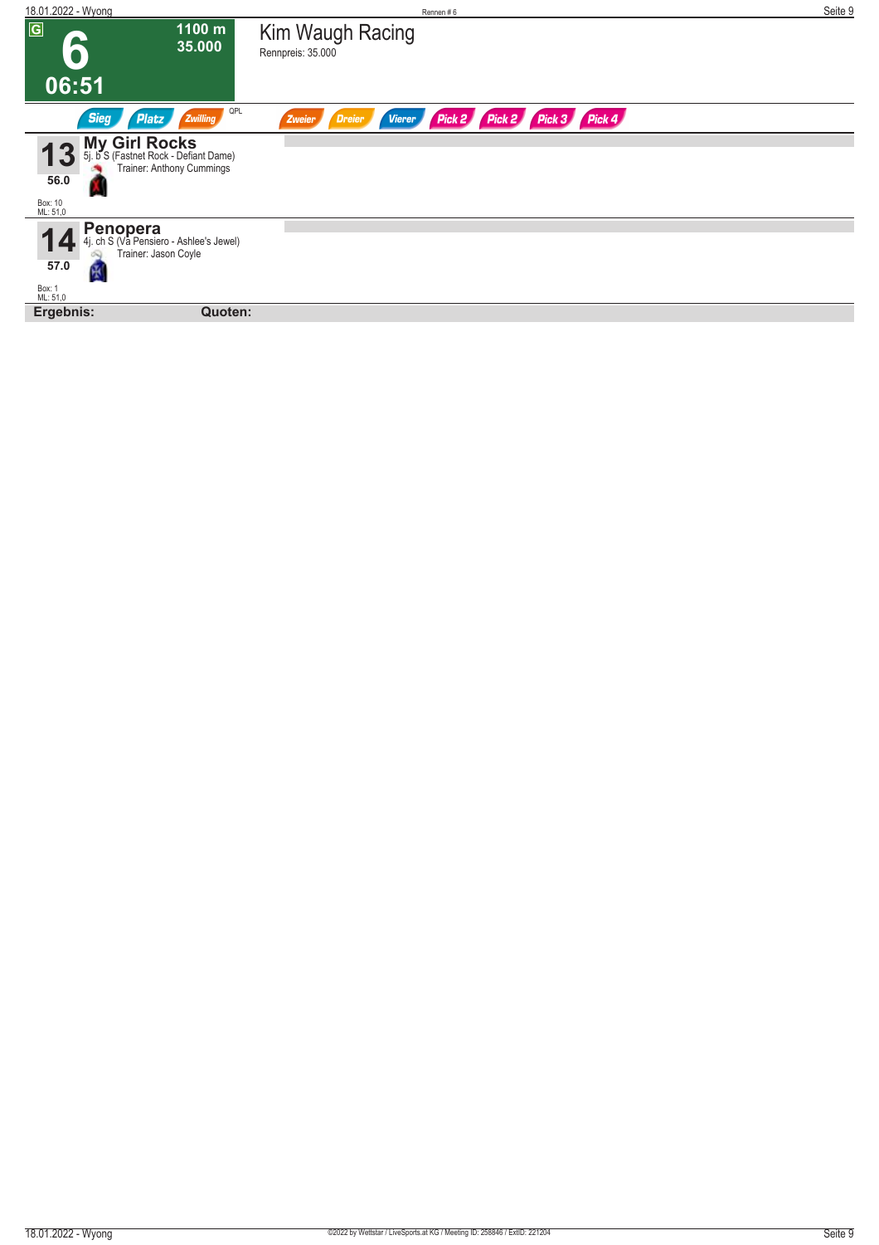| 18.01.2022 - Wyong                                                                                                              | Rennen#6                                                            | Seite 9 |
|---------------------------------------------------------------------------------------------------------------------------------|---------------------------------------------------------------------|---------|
| $\overline{G}$<br>1100 m<br>a<br>35.000                                                                                         | Kim Waugh Racing<br>Rennpreis: 35.000                               |         |
| 06:51                                                                                                                           |                                                                     |         |
| QPL<br><b>Sieg</b><br>Platz<br>Zwilling                                                                                         | Pick 2 Pick 3 Pick 4<br>Pick 2<br>Dreier<br><b>Vierer</b><br>Zweier |         |
| <b>My Girl Rocks</b><br>5j. b S (Fastnet Rock - Defiant Dame)<br>13<br>Trainer: Anthony Cummings<br>56.0<br>Box: 10<br>ML: 51,0 |                                                                     |         |
| <b>Penopera</b><br>4j. ch S (Va Pensiero - Ashlee's Jewel)<br>Trainer: Jason Coyle<br>57.0<br>ভূ<br>Box: 1<br>ML: 51,0          |                                                                     |         |
| Ergebnis:<br>Quoten:                                                                                                            |                                                                     |         |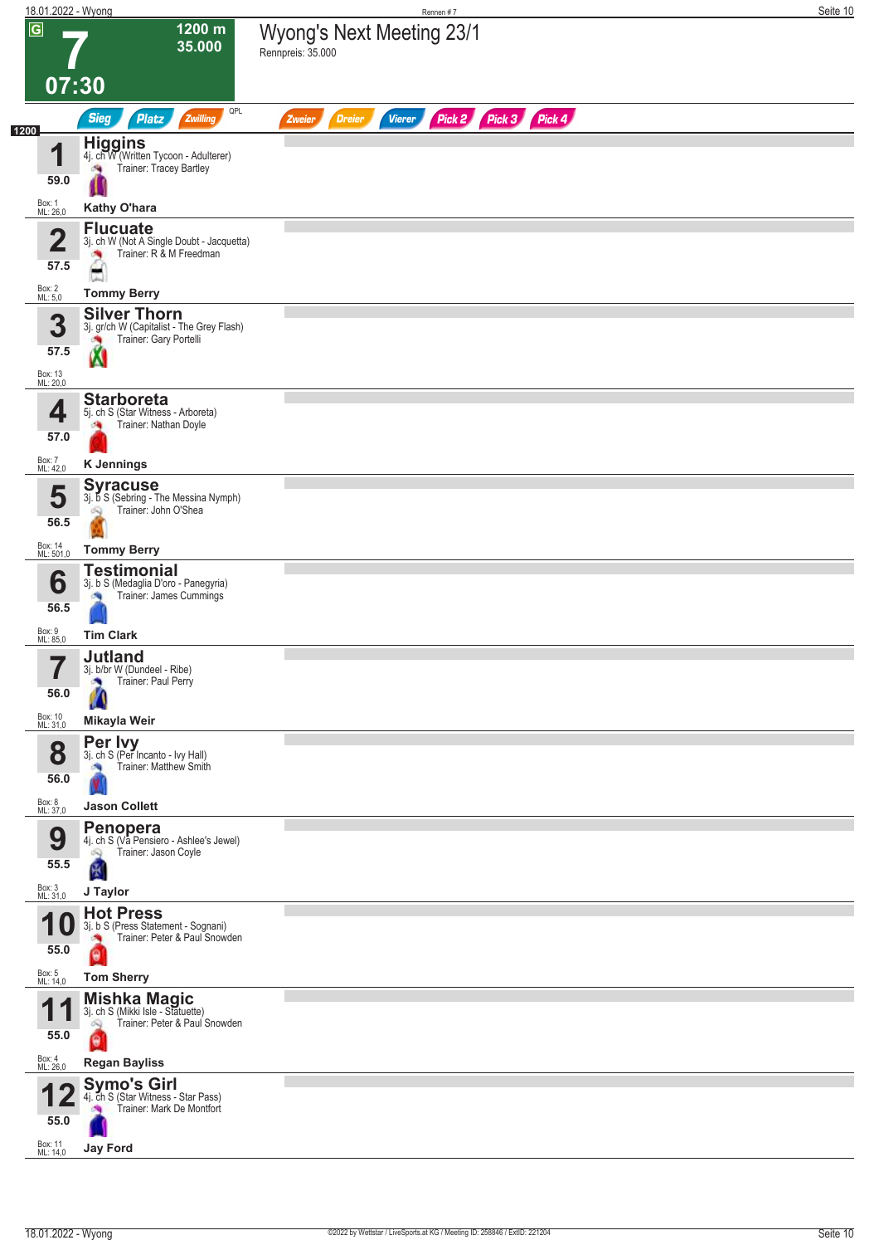